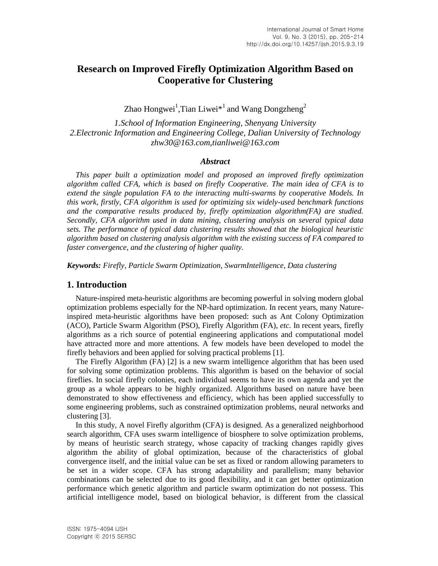# **Research on Improved Firefly Optimization Algorithm Based on Cooperative for Clustering**

Zhao Hongwei<sup>1</sup>,Tian Liwei $*^1$  and Wang Dongzheng<sup>2</sup>

*1.School of Information Engineering, Shenyang University 2.Electronic Information and Engineering College, Dalian University of Technology zhw30@163.com,tianliwei@163.com*

#### *Abstract*

*This paper built a optimization model and proposed an improved firefly optimization algorithm called CFA, which is based on firefly Cooperative. The main idea of CFA is to extend the single population FA to the interacting multi-swarms by cooperative Models. In this work, firstly, CFA algorithm is used for optimizing six widely-used benchmark functions and the comparative results produced by, firefly optimization algorithm(FA) are studied. Secondly, CFA algorithm used in data mining, clustering analysis on several typical data sets. The performance of typical data clustering results showed that the biological heuristic algorithm based on clustering analysis algorithm with the existing success of FA compared to faster convergence, and the clustering of higher quality.*

*Keywords: Firefly, Particle Swarm Optimization, SwarmIntelligence, Data clustering*

### **1. Introduction**

Nature-inspired meta-heuristic algorithms are becoming powerful in solving modern global optimization problems especially for the NP-hard optimization. In recent years, many Natureinspired meta-heuristic algorithms have been proposed: such as Ant Colony Optimization (ACO), Particle Swarm Algorithm (PSO), Firefly Algorithm (FA), *etc.* In recent years, firefly algorithms as a rich source of potential engineering applications and computational model have attracted more and more attentions. A few models have been developed to model the firefly behaviors and been applied for solving practical problems [1].

The Firefly Algorithm (FA) [2] is a new swarm intelligence algorithm that has been used for solving some optimization problems. This algorithm is based on the behavior of social fireflies. In social firefly colonies, each individual seems to have its own agenda and yet the group as a whole appears to be highly organized. Algorithms based on nature have been demonstrated to show effectiveness and efficiency, which has been applied successfully to some engineering problems, such as constrained optimization problems, neural networks and clustering [3].

In this study, A novel Firefly algorithm (CFA) is designed. As a generalized neighborhood search algorithm, CFA uses swarm intelligence of biosphere to solve optimization problems, by means of heuristic search strategy, whose capacity of tracking changes rapidly gives algorithm the ability of global optimization, because of the characteristics of global convergence itself, and the initial value can be set as fixed or random allowing parameters to be set in a wider scope. CFA has strong adaptability and parallelism; many behavior combinations can be selected due to its good flexibility, and it can get better optimization performance which genetic algorithm and particle swarm optimization do not possess. This artificial intelligence model, based on biological behavior, is different from the classical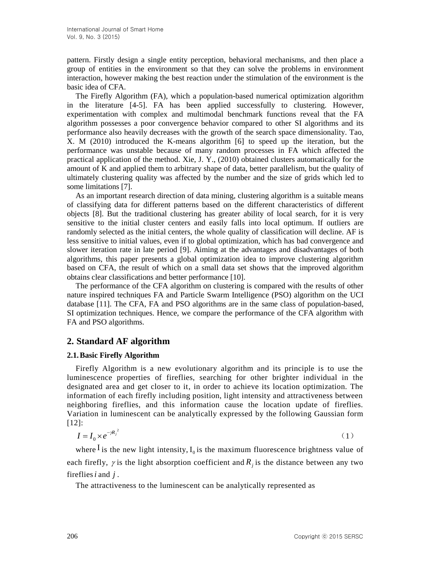pattern. Firstly design a single entity perception, behavioral mechanisms, and then place a group of entities in the environment so that they can solve the problems in environment interaction, however making the best reaction under the stimulation of the environment is the basic idea of CFA.

The Firefly Algorithm (FA), which a population-based numerical optimization algorithm in the literature [4-5]. FA has been applied successfully to clustering. However, experimentation with complex and multimodal benchmark functions reveal that the FA algorithm possesses a poor convergence behavior compared to other SI algorithms and its performance also heavily decreases with the growth of the search space dimensionality. Tao, X. M (2010) introduced the K-means algorithm [6] to speed up the iteration, but the performance was unstable because of many random processes in FA which affected the practical application of the method. Xie, J. Y., (2010) obtained clusters automatically for the amount of K and applied them to arbitrary shape of data, better parallelism, but the quality of ultimately clustering quality was affected by the number and the size of grids which led to some limitations [7].

As an important research direction of data mining, clustering algorithm is a suitable means of classifying data for different patterns based on the different characteristics of different objects [8]. But the traditional clustering has greater ability of local search, for it is very sensitive to the initial cluster centers and easily falls into local optimum. If outliers are randomly selected as the initial centers, the whole quality of classification will decline. AF is less sensitive to initial values, even if to global optimization, which has bad convergence and slower iteration rate in late period [9]. Aiming at the advantages and disadvantages of both algorithms, this paper presents a global optimization idea to improve clustering algorithm based on CFA, the result of which on a small data set shows that the improved algorithm obtains clear classifications and better performance [10].

The performance of the CFA algorithm on clustering is compared with the results of other nature inspired techniques FA and Particle Swarm Intelligence (PSO) algorithm on the UCI database [11]. The CFA, FA and PSO algorithms are in the same class of population-based, SI optimization techniques. Hence, we compare the performance of the CFA algorithm with FA and PSO algorithms.

### **2. Standard AF algorithm**

### **2.1.Basic Firefly Algorithm**

Firefly Algorithm is a new evolutionary algorithm and its principle is to use the [luminescence properties](http://dict.cnki.net/javascript:showjdsw() of fireflies, searching for other brighter individual in the designated area and get closer to it, in order to achieve its location optimization. The information of each firefly including position, light intensity and attractiveness between neighboring fireflies, and this information cause the location update of fireflies. Variation in luminescent can be analytically expressed by the following Gaussian form [12]:

$$
I = I_0 \times e^{-\gamma R_f^2} \tag{1}
$$

where  $I$  is the new light intensity,  $I_0$  is the maximum fluorescence brightness value of each firefly,  $\gamma$  is the light absorption coefficient and  $R_j$  is the distance between any two fireflies *i* and *j*.

The attractiveness to the luminescent can be analytically represented as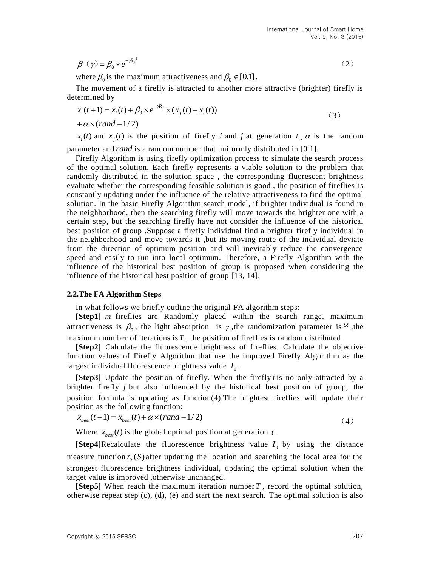$$
\beta(\gamma) = \beta_0 \times e^{-\gamma R_f^2} \tag{2}
$$

where  $\beta_0$  is the maximum attractiveness and  $\beta_0 \in [0,1]$ .

The movement of a firefly is attracted to another more attractive (brighter) firefly is determined by

$$
x_i(t+1) = x_i(t) + \beta_0 \times e^{-\gamma R_j} \times (x_j(t) - x_i(t))
$$
  
+  $\alpha \times (rand - 1/2)$  (3)

 $x_i(t)$  and  $x_j(t)$  is the position of firefly *i* and *j* at generation *t*,  $\alpha$  is the random

parameter and *rand* is a random number that uniformly distributed in [0 1].

Firefly Algorithm is using firefly optimization process to simulate the search process of the optimal solution. Each firefly [represents](http://dict.cnki.net/javascript:showjdsw() a viable solution to the problem that randomly distributed in the solution space , the corresponding [fluorescent brightness](http://dict.cnki.net/javascript:showjdsw() evaluate whether the corresponding feasible solution is good , the position of fireflies is constantly updating under the influence of the relative attractiveness to find the [optimal](http://dict.cnki.net/javascript:showjdsw()  [solution.](http://dict.cnki.net/javascript:showjdsw() In the basic Firefly Algorithm search model, if brighter individual is found in the neighborhood, then the searching firefly will move towards the brighter one with a certain step, but the searching firefly have not consider the [influence](http://dict.cnki.net/javascript:showjdsw() of the historical best position of group .Suppose a firefly individual find a brighter firefly individual in the neighborhood and move towards it ,but its [moving route](http://dict.cnki.net/javascript:showjdsw() of the individual deviate from the direction of optimum position and will inevitably reduce the convergence speed and easily to run into [local optimum.](http://dict.cnki.net/javascript:showjdsw() Therefore, a Firefly Algorithm with the influence of the historical best position of group is [proposed](http://dict.cnki.net/javascript:showjdsw() when considering the influence of the historical best position of group [13, 14].

#### **2.2.The FA Algorithm Steps**

In what follows we briefly outline the original FA algorithm steps:

[Step1] *m* fireflies are Randomly placed within the [search range,](http://dict.cnki.net/javascript:showjdsw() maximum attractiveness is  $\beta_0$ , the light absorption is  $\gamma$ , the randomization parameter is  $\alpha$ , the maximum number of iterations is  $T$ , the position of fireflies is random distributed.

**[Step2]** Calculate the fluorescence brightness of fireflies. Calculate the objective function values of Firefly Algorithm that use the improved Firefly Algorithm as the largest individual fluorescence brightness value  $I_0$ .

[Step3] Update the position of firefly. When the firefly *i* is no only attracted by a brighter firefly *j* but also influenced by the historical best position of group, the position [formula](http://dict.cnki.net/javascript:showjdsw() is [updating](http://dict.cnki.net/dict_result.aspx?searchword=%e4%bd%8d%e7%bd%ae%e6%9b%b4%e6%96%b0&tjType=sentence&style=&t=position+updating) as function(4).The brightest fireflies will update their position as the following function:

$$
x_{best}(t+1) = x_{best}(t) + \alpha \times (rand - 1/2)
$$
\n<sup>(4)</sup>

Where  $x_{best}(t)$  is the [global optimal](http://dict.cnki.net/dict_result.aspx?searchword=%e5%85%a8%e5%b1%80%e6%9c%80%e4%bc%98&tjType=sentence&style=&t=global+optimal) position at generation t.

**[Step4]**Recalculate the fluorescence brightness value  $I_0$  by using the distance [measure function](http://dict.cnki.net/javascript:showjdsw()  $r_{tr}(S)$  after updating the location and searching the local area for the strongest fluorescence brightness individual, [updating](http://dict.cnki.net/javascript:showjdsw() the optimal solution when the [target value](http://dict.cnki.net/javascript:showjdsw() is improved ,otherwise unchanged.

**[Step5]** When [reach](http://dict.cnki.net/javascript:showjdsw() the maximum iteration number *<sup>T</sup>* , record the optimal solution, otherwise repeat step (c), (d), (e) and start the next search. The optimal solution is also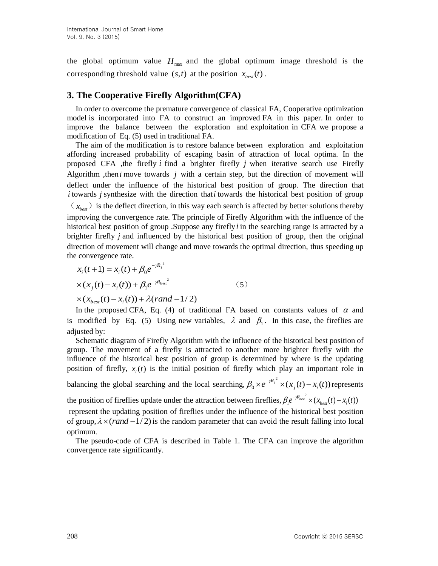the [global optimum value](http://dict.cnki.net/javascript:showjdsw()  $H_{\text{max}}$  and the [global optimum i](http://dict.cnki.net/javascript:showjdsw()mage threshold is the corresponding threshold value  $(s,t)$  at the position  $x_{best}(t)$ .

### **3. The Cooperative Firefly Algorithm(CFA)**

In order to overcome the premature convergence of classical FA, Cooperative optimization model is incorporated into FA to construct an improved FA in this paper. In order to improve the balance between the exploration and exploitation in CFA we propose a modification of Eq. (5) used in traditional FA.

The aim of the modification is to restore balance between exploration and exploitation affording increased probability of escaping basin of attraction of local optima. In the proposed CFA ,the firefly *i* find a brighter firefly *j* when iterative search use Firefly Algorithm ,then *i* move towards *j* with a certain step, but the direction of movement will deflect under the influence of the historical best position of group. The direction that *i* towards *j* synthesize with the direction that *i* towards the historical best position of group  $(x<sub>best</sub>)$  is the deflect direction, in this way each search is affected by better solutions thereby improving the convergence rate. The principle of Firefly Algorithm with the influence of the historical best position of group .Suppose any firefly *i* in the searching range is attracted by a brighter firefly *j* and influenced by the historical best position of group, then the original direction of movement will change and move towards the optimal direction, thus speeding up the convergence rate.

$$
x_i(t+1) = x_i(t) + \beta_0 e^{-jR_j^2}
$$
  
\n
$$
\times (x_j(t) - x_i(t)) + \beta_1 e^{-jR_{\text{best}}^2}
$$
  
\n
$$
\times (x_{best}(t) - x_i(t)) + \lambda (rand - 1/2)
$$
\n(5)

In the proposed CFA, Eq. (4) of traditional FA based on constants values of  $\alpha$  and is modified by Eq. (5) Using new variables,  $\lambda$  and  $\beta_1$ . In this case, the fireflies are adjusted by:

[Schematic diagram](http://dict.cnki.net/javascript:showjdsw() of Firefly Algorithm with the influence of the historical best position of group. The movement of a firefly is attracted to another more brighter firefly with the influence of the historical best position of group is determined by where is the updating position of firefly,  $x_i(t)$  is the initial position of firefly which play an important role in

balancing the global searching and the local searching,  $\beta_0 \times e^{-\gamma R_f^2} \times (x_1(t) - x_2(t))$  $\beta_0 \times e^{-\mathcal{R}_j^2} \times (x_j(t) - x_i(t))$  represents

the position of fireflies update under the attraction between fireflies,  $\beta_1 e^{-\gamma R_{best}^2} \times (x_{best}(t) - x_i(t))$  $\beta_1 e^{-\gamma R_{best}} \times (x_{best}(t) - x_i(t))$ 

represent the updating position of fireflies under the influence of the historical best position of group,  $\lambda \times (rand - 1/2)$  is the random parameter that can avoid the result falling into local optimum.

The pseudo-code of CFA is described in Table 1. The CFA can improve the algorithm convergence rate significantly.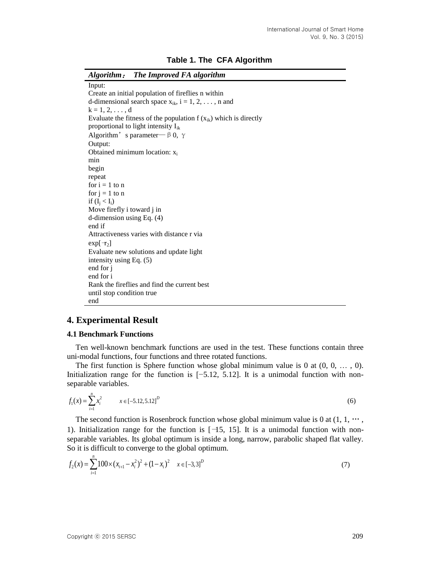| Algorithm: The Improved FA algorithm                                 |
|----------------------------------------------------------------------|
| Input:                                                               |
| Create an initial population of fireflies n within                   |
| d-dimensional search space $x_{ik}$ , i = 1, 2, , n and              |
| $k = 1, 2, , d$                                                      |
| Evaluate the fitness of the population $f(x_{ik})$ which is directly |
| proportional to light intensity $I_{ik}$                             |
| Algorithm's parameter $-\beta$ 0, $\gamma$                           |
| Output:                                                              |
| Obtained minimum location: $x_i$                                     |
| min                                                                  |
| begin                                                                |
| repeat                                                               |
| for $i = 1$ to n                                                     |
| for $j = 1$ to n                                                     |
| if $(I_i < I_i)$                                                     |
| Move firefly i toward j in                                           |
| d-dimension using Eq. $(4)$                                          |
| end if                                                               |
| Attractiveness varies with distance r via                            |
| $\exp[\neg z]$                                                       |
| Evaluate new solutions and update light                              |
| intensity using Eq. $(5)$                                            |
| end for j                                                            |
| end for i                                                            |
| Rank the fireflies and find the current best                         |
| until stop condition true                                            |
| end                                                                  |

### **4. Experimental Result**

#### **4.1 Benchmark Functions**

Ten well-known benchmark functions are used in the test. These functions contain three uni-modal functions, four functions and three rotated functions.

The first function is Sphere function whose global minimum value is  $0$  at  $(0, 0, \ldots, 0)$ . Initialization range for the function is [−5.12, 5.12]. It is a unimodal function with nonseparable variables.

$$
f_1(x) = \sum_{i=1}^{n} x_i^2 \qquad x \in [-5.12, 5.12]^D
$$
 (6)

The second function is Rosenbrock function whose global minimum value is 0 at  $(1, 1, \dots,$ 1). Initialization range for the function is [−15, 15]. It is a unimodal function with nonseparable variables. Its global optimum is inside a long, narrow, parabolic shaped flat valley. So it is difficult to converge to the global optimum.

$$
f_2(x) = \sum_{i=1}^{n} 100 \times (x_{i+1} - x_i^2)^2 + (1 - x_i)^2 \quad x \in [-3, 3]^D
$$
 (7)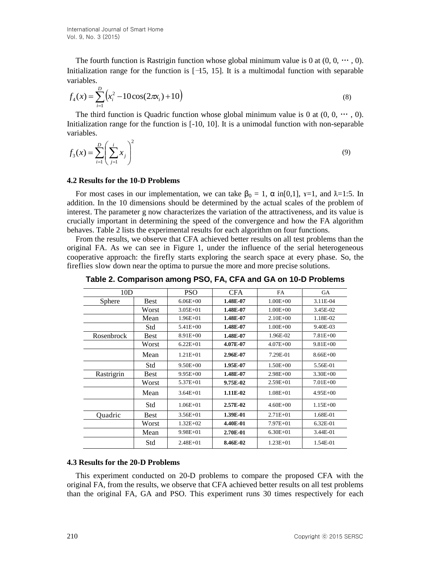The fourth function is Rastrigin function whose global minimum value is 0 at  $(0, 0, \dots, 0)$ . Initialization range for the function is  $[-15, 15]$ . It is a multimodal function with separable variables.

$$
f_4(x) = \sum_{i=1}^{D} \left( x_i^2 - 10\cos(2\pi x_i) + 10 \right)
$$
\n(8)

The third function is Quadric function whose global minimum value is 0 at  $(0, 0, \dots, 0)$ . Initialization range for the function is [-10, 10]. It is a unimodal function with non-separable variables.

$$
f_3(x) = \sum_{i=1}^{D} \left( \sum_{j=1}^{i} x_j \right)^2
$$
 (9)

#### **4.2 Results for the 10-D Problems**

For most cases in our implementation, we can take  $\beta_0 = 1$ ,  $\alpha$  in[0,1],  $x=1$ , and  $\lambda=1:5$ . In addition. In the 10 dimensions should be determined by the actual scales of the problem of interest. The parameter g now characterizes the variation of the attractiveness, and its value is crucially important in determining the speed of the convergence and how the FA algorithm behaves. Table 2 lists the experimental results for each algorithm on four functions.

From the results, we observe that CFA achieved better results on all test problems than the original FA. As we can see in Figure 1, under the influence of the serial heterogeneous cooperative approach: the firefly starts exploring the search space at every phase. So, the fireflies slow down near the optima to pursue the more and more precise solutions.

| Table 2. Comparison among PSO, FA, CFA and GA on 10-D Problems |  |  |  |  |
|----------------------------------------------------------------|--|--|--|--|
|----------------------------------------------------------------|--|--|--|--|

| 10D               |             | <b>PSO</b>   | <b>CFA</b> | <b>FA</b>    | <b>GA</b>    |
|-------------------|-------------|--------------|------------|--------------|--------------|
| Sphere            | <b>Best</b> | $6.06E + 00$ | 1.48E-07   | $1.00E + 00$ | 3.11E-04     |
|                   | Worst       | $3.05E + 01$ | 1.48E-07   | $1.00E + 00$ | 3.45E-02     |
|                   | Mean        | $1.96E + 01$ | 1.48E-07   | $2.10E + 00$ | 1.18E-02     |
|                   | Std         | $5.41E + 00$ | 1.48E-07   | $1.00E + 00$ | 9.40E-03     |
| <b>Rosenbrock</b> | <b>Best</b> | $8.91E + 00$ | 1.48E-07   | 1.96E-02     | $7.81E + 00$ |
|                   | Worst       | $6.22E + 01$ | 4.07E-07   | $4.07E + 00$ | $9.81E + 00$ |
|                   | Mean        | $1.21E + 01$ | 2.96E-07   | 7.29E-01     | $8.66E + 00$ |
|                   | Std         | $9.50E + 00$ | 1.95E-07   | $1.50E + 00$ | 5.56E-01     |
| Rastrigrin        | <b>Best</b> | $9.95E + 00$ | 1.48E-07   | $2.98E + 00$ | $3.30E + 00$ |
|                   | Worst       | $5.37E + 01$ | 9.75E-02   | $2.59E + 01$ | $7.01E + 00$ |
|                   | Mean        | $3.64E + 01$ | 1.11E-02   | $1.08E + 01$ | $4.95E+00$   |
|                   | Std         | $1.06E + 01$ | 2.57E-02   | $4.60E + 00$ | $1.15E + 00$ |
| Quadric           | <b>Best</b> | $3.56E + 01$ | 1.39E-01   | $2.71E + 01$ | 1.68E-01     |
|                   | Worst       | $1.32E + 02$ | 4.40E-01   | $7.97E + 01$ | $6.32E-01$   |
|                   | Mean        | $9.98E + 01$ | 2.70E-01   | $6.30E + 01$ | 3.44E-01     |
|                   | Std         | $2.48E + 01$ | 8.46E-02   | $1.23E + 01$ | 1.54E-01     |

#### **4.3 Results for the 20-D Problems**

This experiment conducted on 20-D problems to compare the proposed CFA with the original FA, from the results, we observe that CFA achieved better results on all test problems than the original FA, GA and PSO. This experiment runs 30 times respectively for each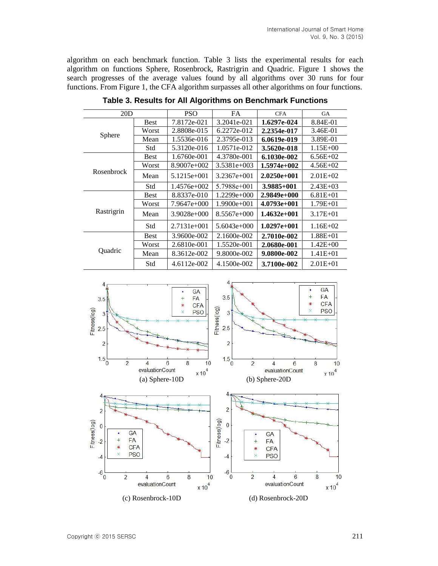algorithm on each benchmark function. Table 3 lists the experimental results for each algorithm on functions Sphere, Rosenbrock, Rastrigrin and Quadric. Figure 1 shows the search progresses of the average values found by all algorithms over 30 runs for four functions. From Figure 1, the CFA algorithm surpasses all other algorithms on four functions.

| 20D               |             | <b>PSO</b>    | <b>FA</b>     | <b>CFA</b>     | <b>GA</b>    |
|-------------------|-------------|---------------|---------------|----------------|--------------|
| Sphere            | <b>Best</b> | 7.8172e-021   | 3.2041e-021   | 1.6297e-024    | 8.84E-01     |
|                   | Worst       | 2.8808e-015   | 6.2272e-012   | 2.2354e-017    | 3.46E-01     |
|                   | Mean        | 1.5536e-016   | 2.3795e-013   | 6.0619e-019    | 3.89E-01     |
|                   | Std         | 5.3120e-016   | 1.0571e-012   | 3.5620e-018    | $1.15E + 00$ |
| <b>Rosenbrock</b> | <b>Best</b> | 1.6760e-001   | 4.3780e-001   | 6.1030e-002    | $6.56E+02$   |
|                   | Worst       | $8.9007e+002$ | $3.5381e+003$ | $1.5974e+002$  | $4.56E + 02$ |
|                   | Mean        | $5.1215e+001$ | $3.2367e+001$ | $2.0250e+001$  | $2.01E + 02$ |
|                   | Std         | $1.4576e+002$ | $5.7988e+001$ | $3.9885 + 001$ | $2.43E + 03$ |
| Rastrigrin        | <b>Best</b> | 8.8337e-010   | $1.2299e+000$ | $2.9849e+000$  | $6.81E + 01$ |
|                   | Worst       | 7.9647e+000   | $1.9900e+001$ | $4.0793e+001$  | $1.79E + 01$ |
|                   | Mean        | $3.9028e+000$ | $8.5567e+000$ | $1.4632e+001$  | $3.17E + 01$ |
|                   | Std         | $2.7131e+001$ | $5.6043e+000$ | $1.0297e+001$  | $1.16E+02$   |
| Quadric           | <b>Best</b> | 3.9600e-002   | 2.1600e-002   | 2.7010e-002    | $1.88E + 01$ |
|                   | Worst       | 2.6810e-001   | 1.5520e-001   | 2.0680e-001    | $1.42E + 00$ |
|                   | Mean        | 8.3612e-002   | 9.8000e-002   | 9.0800e-002    | $1.41E + 01$ |
|                   | Std         | 4.6112e-002   | 4.1500e-002   | 3.7100e-002    | $2.01E + 01$ |

**Table 3. Results for All Algorithms on Benchmark Functions**

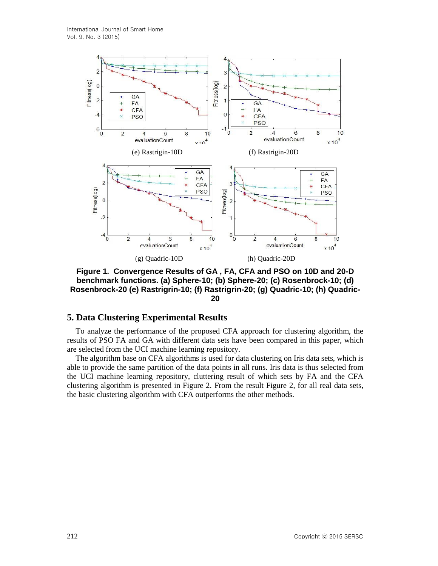

**Figure 1. Convergence Results of GA , FA, CFA and PSO on 10D and 20-D benchmark functions. (a) Sphere-10; (b) Sphere-20; (c) Rosenbrock-10; (d) Rosenbrock-20 (e) Rastrigrin-10; (f) Rastrigrin-20; (g) Quadric-10; (h) Quadric-20**

## **5. Data Clustering Experimental Results**

To analyze the performance of the proposed CFA approach for clustering algorithm, the results of PSO FA and GA with different data sets have been compared in this paper, which are selected from the UCI machine learning repository.

The algorithm base on CFA algorithms is used for data clustering on Iris data sets, which is able to provide the same partition of the data points in all runs. Iris data is thus selected from the UCI machine learning repository, cluttering result of which sets by FA and the CFA clustering algorithm is presented in Figure 2. From the result Figure 2, for all real data sets, the basic clustering algorithm with CFA outperforms the other methods.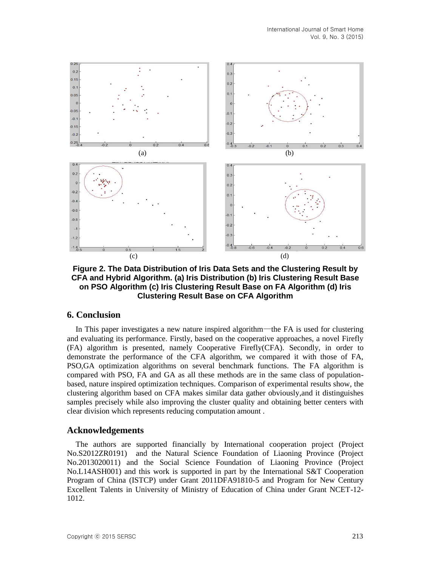

**Figure 2. The Data Distribution of Iris Data Sets and the Clustering Result by CFA and Hybrid Algorithm. (a) Iris Distribution (b) Iris Clustering Result Base on PSO Algorithm (c) Iris Clustering Result Base on FA Algorithm (d) Iris Clustering Result Base on CFA Algorithm**

### **6. Conclusion**

In This paper investigates a new nature inspired algorithm—the FA is used for clustering and evaluating its performance. Firstly, based on the cooperative approaches, a novel Firefly (FA) algorithm is presented, namely Cooperative Firefly(CFA). Secondly, in order to demonstrate the performance of the CFA algorithm, we compared it with those of FA, PSO,GA optimization algorithms on several benchmark functions. The FA algorithm is compared with PSO, FA and GA as all these methods are in the same class of populationbased, nature inspired optimization techniques. Comparison of experimental results show, the clustering algorithm based on CFA makes similar data gather obviously,and it distinguishes samples precisely while also improving the cluster quality and obtaining better centers with clear division which represents reducing computation amount .

### **Acknowledgements**

The authors are supported financially by International cooperation project (Project No.S2012ZR0191) and the Natural Science Foundation of Liaoning Province (Project No.2013020011) and the Social Science Foundation of Liaoning Province (Project No.L14ASH001) and this work is supported in part by the International S&T Cooperation Program of China (ISTCP) under Grant 2011DFA91810-5 and Program for New Century Excellent Talents in University of Ministry of Education of China under Grant NCET-12- 1012.